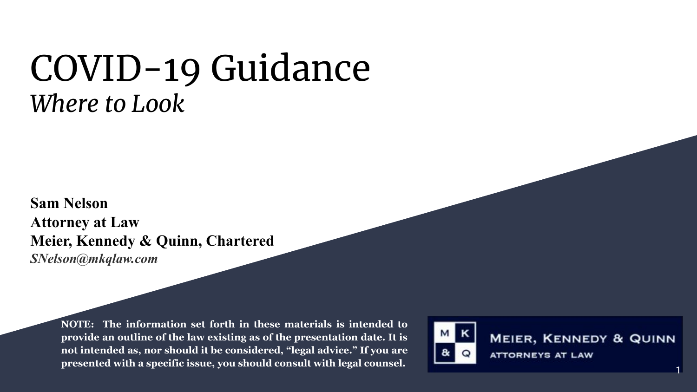## COVID-19 Guidance *Where to Look*

**Sam Nelson Attorney at Law Meier, Kennedy & Quinn, Chartered** *SNelson@mkqlaw.com*

> **NOTE: The information set forth in these materials is intended to provide an outline of the law existing as of the presentation date. It is not intended as, nor should it be considered, "legal advice." If you are presented with a specific issue, you should consult with legal counsel.** <sup>1</sup>



**MEIER, KENNEDY & QUINN ATTORNEYS AT LAW**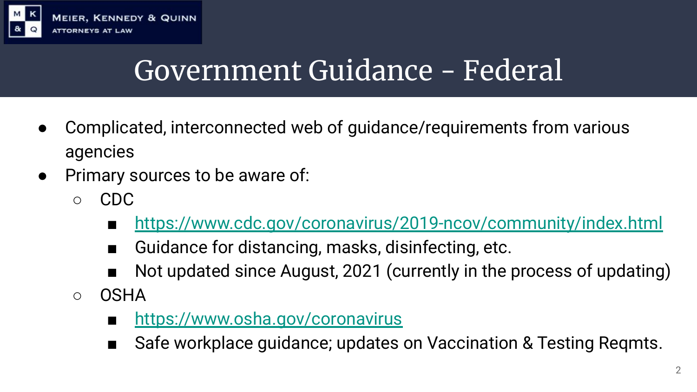

## Government Guidance - Federal

- Complicated, interconnected web of guidance/requirements from various agencies
- Primary sources to be aware of:
	- CDC
		- <https://www.cdc.gov/coronavirus/2019-ncov/community/index.html>
		- Guidance for distancing, masks, disinfecting, etc.
		- Not updated since August, 2021 (currently in the process of updating)
	- OSHA
		- <https://www.osha.gov/coronavirus>
		- Safe workplace guidance; updates on Vaccination & Testing Reqmts.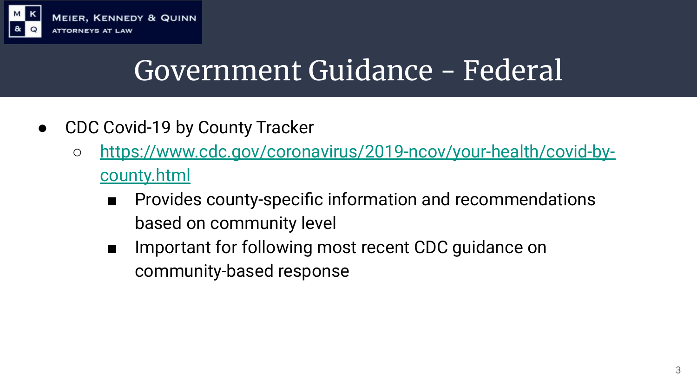

## Government Guidance - Federal

- CDC Covid-19 by County Tracker
	- [https://www.cdc.gov/coronavirus/2019-ncov/your-health/covid-by](https://www.cdc.gov/coronavirus/2019-ncov/your-health/covid-by-county.html)[county.html](https://www.cdc.gov/coronavirus/2019-ncov/your-health/covid-by-county.html)
		- Provides county-specific information and recommendations based on community level
		- Important for following most recent CDC guidance on community-based response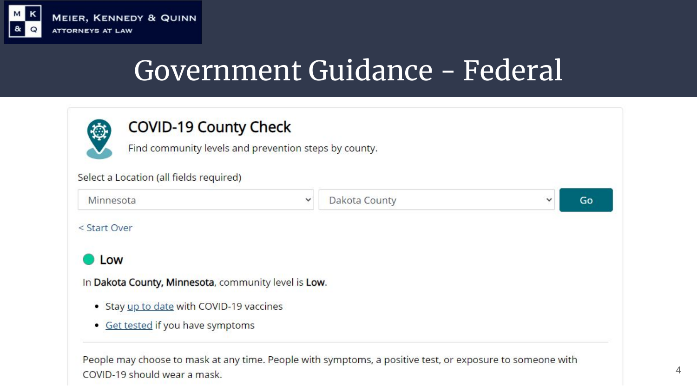

## Government Guidance - Federal

|                                                      | Find community levels and prevention steps by county. |         |
|------------------------------------------------------|-------------------------------------------------------|---------|
| Select a Location (all fields required)              |                                                       |         |
| Minnesota                                            | Dakota County<br>$\checkmark$                         | Go<br>v |
| < Start Over                                         |                                                       |         |
| Low                                                  |                                                       |         |
|                                                      |                                                       |         |
| In Dakota County, Minnesota, community level is Low. |                                                       |         |
|                                                      |                                                       |         |
| • Stay up to date with COVID-19 vaccines             |                                                       |         |

People may choose to mask at any time. People with symptoms, a positive test, or exposure to someone with COVID-19 should wear a mask.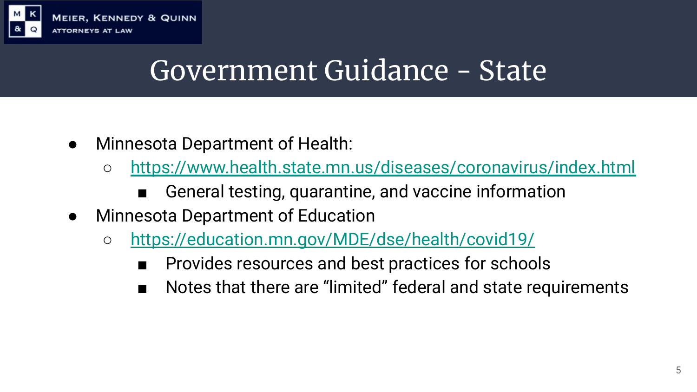

#### Government Guidance - State

- *●* Minnesota Department of Health:
	- <https://www.health.state.mn.us/diseases/coronavirus/index.html>
		- General testing, quarantine, and vaccine information
- Minnesota Department of Education
	- <https://education.mn.gov/MDE/dse/health/covid19/>
		- Provides resources and best practices for schools
		- Notes that there are "limited" federal and state requirements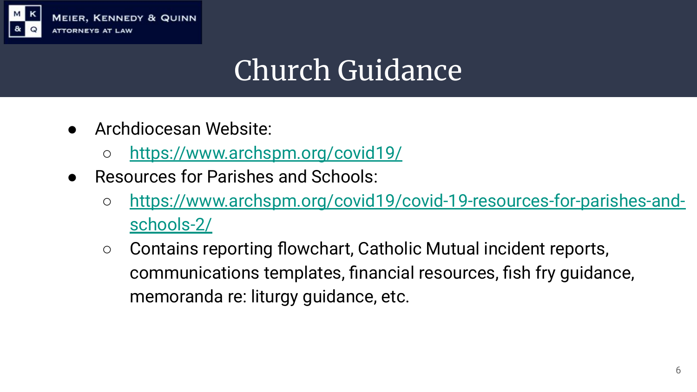

## Church Guidance

- Archdiocesan Website:
	- <https://www.archspm.org/covid19/>
- Resources for Parishes and Schools:
	- [https://www.archspm.org/covid19/covid-19-resources-for-parishes-and](https://www.archspm.org/covid19/covid-19-resources-for-parishes-and-schools-2/)[schools-2/](https://www.archspm.org/covid19/covid-19-resources-for-parishes-and-schools-2/)
	- Contains reporting flowchart, Catholic Mutual incident reports, communications templates, financial resources, fish fry guidance, memoranda re: liturgy guidance, etc.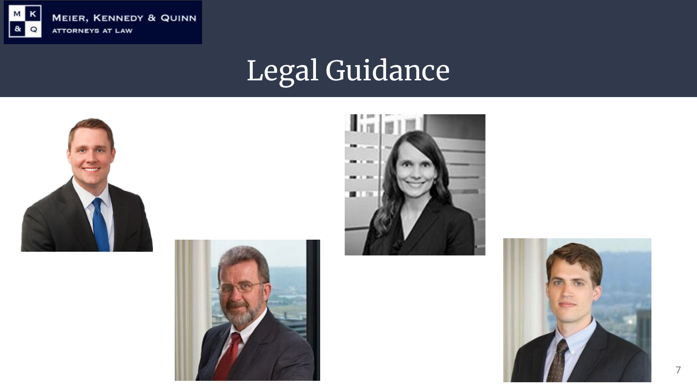

**MEIER, KENNEDY & QUINN ATTORNEYS AT LAW** 

## Legal Guidance